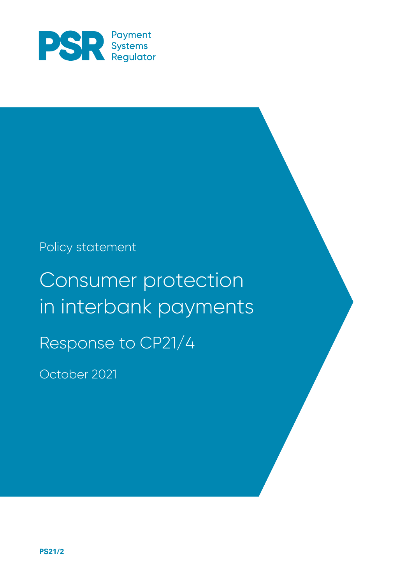

### Policy statement

# Consumer protection in interbank payments Response to CP21/4

October 2021

**PS21/2**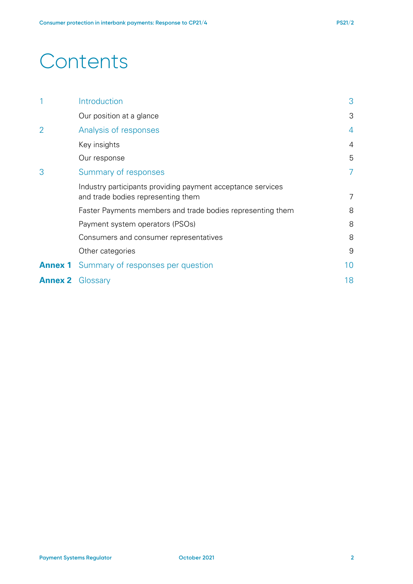## **Contents**

| 1                       | Introduction                                                                                      | 3              |
|-------------------------|---------------------------------------------------------------------------------------------------|----------------|
|                         | Our position at a glance                                                                          | 3              |
| $\overline{2}$          | Analysis of responses                                                                             | $\overline{4}$ |
|                         | Key insights                                                                                      | 4              |
|                         | Our response                                                                                      | 5              |
| 3                       | Summary of responses                                                                              | 7              |
|                         | Industry participants providing payment acceptance services<br>and trade bodies representing them | 7              |
|                         | Faster Payments members and trade bodies representing them                                        | 8              |
|                         | Payment system operators (PSOs)                                                                   | 8              |
|                         | Consumers and consumer representatives                                                            | 8              |
|                         | Other categories                                                                                  | 9              |
| <b>Annex 1</b>          | Summary of responses per question                                                                 | 10             |
| <b>Annex 2</b> Glossary |                                                                                                   | 18             |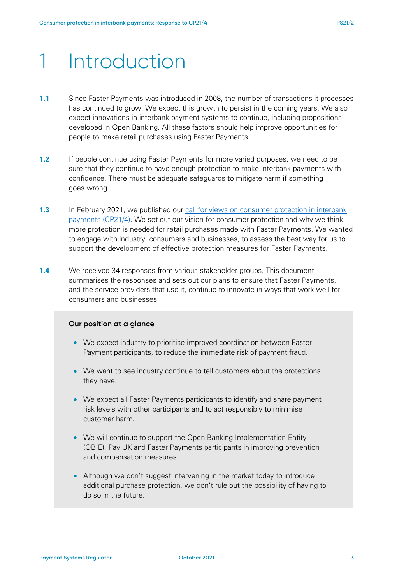## 1 Introduction

- **1.1** Since Faster Payments was introduced in 2008, the number of transactions it processes has continued to grow. We expect this growth to persist in the coming years. We also expect innovations in interbank payment systems to continue, including propositions developed in Open Banking. All these factors should help improve opportunities for people to make retail purchases using Faster Payments.
- **1.2** If people continue using Faster Payments for more varied purposes, we need to be sure that they continue to have enough protection to make interbank payments with confidence. There must be adequate safeguards to mitigate harm if something goes wrong.
- **1.3** In February 2021, we published our call for views on consumer protection in interbank [payments \(CP21/4\).](https://www.psr.org.uk/publications/consultations/cp21-4-consumer-protection-in-interbank-payments-call-for-views/) We set out our vision for consumer protection and why we think more protection is needed for retail purchases made with Faster Payments. We wanted to engage with industry, consumers and businesses, to assess the best way for us to support the development of effective protection measures for Faster Payments.
- **1.4** We received 34 responses from various stakeholder groups. This document summarises the responses and sets out our plans to ensure that Faster Payments, and the service providers that use it, continue to innovate in ways that work well for consumers and businesses.

#### **Our position at a glance**

- We expect industry to prioritise improved coordination between Faster Payment participants, to reduce the immediate risk of payment fraud.
- We want to see industry continue to tell customers about the protections they have.
- We expect all Faster Payments participants to identify and share payment risk levels with other participants and to act responsibly to minimise customer harm.
- We will continue to support the Open Banking Implementation Entity (OBIE), Pay.UK and Faster Payments participants in improving prevention and compensation measures.
- Although we don't suggest intervening in the market today to introduce additional purchase protection, we don't rule out the possibility of having to do so in the future.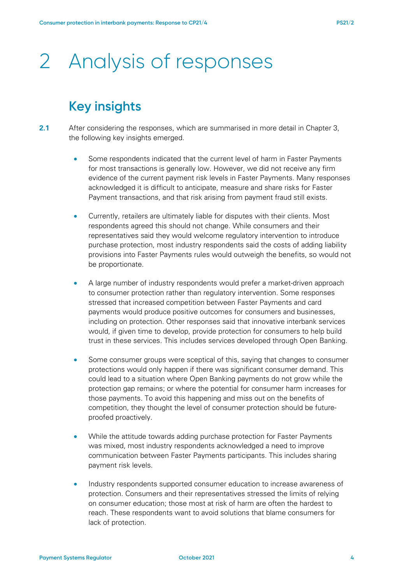# 2 Analysis of responses

### **Key insights**

- **2.1** After considering the responses, which are summarised in more detail in Chapter 3, the following key insights emerged.
	- Some respondents indicated that the current level of harm in Faster Payments for most transactions is generally low. However, we did not receive any firm evidence of the current payment risk levels in Faster Payments. Many responses acknowledged it is difficult to anticipate, measure and share risks for Faster Payment transactions, and that risk arising from payment fraud still exists.
	- Currently, retailers are ultimately liable for disputes with their clients. Most respondents agreed this should not change. While consumers and their representatives said they would welcome regulatory intervention to introduce purchase protection, most industry respondents said the costs of adding liability provisions into Faster Payments rules would outweigh the benefits, so would not be proportionate.
	- A large number of industry respondents would prefer a market-driven approach to consumer protection rather than regulatory intervention. Some responses stressed that increased competition between Faster Payments and card payments would produce positive outcomes for consumers and businesses, including on protection. Other responses said that innovative interbank services would, if given time to develop, provide protection for consumers to help build trust in these services. This includes services developed through Open Banking.
	- Some consumer groups were sceptical of this, saying that changes to consumer protections would only happen if there was significant consumer demand. This could lead to a situation where Open Banking payments do not grow while the protection gap remains; or where the potential for consumer harm increases for those payments. To avoid this happening and miss out on the benefits of competition, they thought the level of consumer protection should be futureproofed proactively.
	- While the attitude towards adding purchase protection for Faster Payments was mixed, most industry respondents acknowledged a need to improve communication between Faster Payments participants. This includes sharing payment risk levels.
	- Industry respondents supported consumer education to increase awareness of protection. Consumers and their representatives stressed the limits of relying on consumer education; those most at risk of harm are often the hardest to reach. These respondents want to avoid solutions that blame consumers for lack of protection.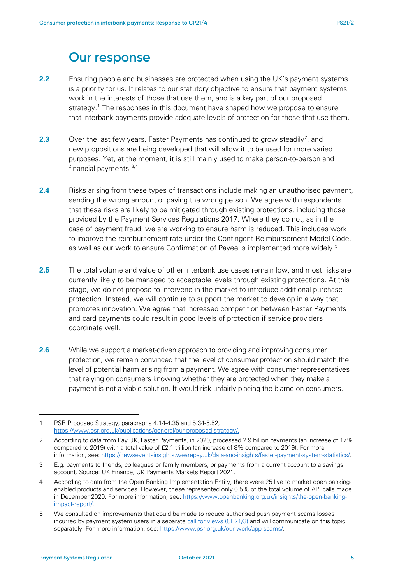### **Our response**

- **2.2** Ensuring people and businesses are protected when using the UK's payment systems is a priority for us. It relates to our statutory objective to ensure that payment systems work in the interests of those that use them, and is a key part of our proposed strategy. [1](#page-4-0) The responses in this document have shaped how we propose to ensure that interbank payments provide adequate levels of protection for those that use them.
- **[2](#page-4-1).3** Over the last few years, Faster Payments has continued to grow steadily<sup>2</sup>, and new propositions are being developed that will allow it to be used for more varied purposes. Yet, at the moment, it is still mainly used to make person-to-person and financial payments.[3](#page-4-2),[4](#page-4-3)
- **2.4** Risks arising from these types of transactions include making an unauthorised payment, sending the wrong amount or paying the wrong person. We agree with respondents that these risks are likely to be mitigated through existing protections, including those provided by the Payment Services Regulations 2017. Where they do not, as in the case of payment fraud, we are working to ensure harm is reduced. This includes work to improve the reimbursement rate under the Contingent Reimbursement Model Code, as well as our work to ensure Confirmation of Payee is implemented more widely.<sup>[5](#page-4-4)</sup>
- **2.5** The total volume and value of other interbank use cases remain low, and most risks are currently likely to be managed to acceptable levels through existing protections. At this stage, we do not propose to intervene in the market to introduce additional purchase protection. Instead, we will continue to support the market to develop in a way that promotes innovation. We agree that increased competition between Faster Payments and card payments could result in good levels of protection if service providers coordinate well.
- **2.6** While we support a market-driven approach to providing and improving consumer protection, we remain convinced that the level of consumer protection should match the level of potential harm arising from a payment. We agree with consumer representatives that relying on consumers knowing whether they are protected when they make a payment is not a viable solution. It would risk unfairly placing the blame on consumers.

<span id="page-4-0"></span><sup>1</sup> PSR Proposed Strategy, paragraphs 4.14-4.35 and 5.34-5.52, [https://www.psr.org.uk/publications/general/our-proposed-strategy/.](https://www.psr.org.uk/publications/general/our-proposed-strategy/)

<span id="page-4-1"></span><sup>2</sup> According to data from Pay.UK, Faster Payments, in 2020, processed 2.9 billion payments (an increase of 17% compared to 2019) with a total value of £2.1 trillion (an increase of 8% compared to 2019). For more information, see: [https://newseventsinsights.wearepay.uk/data-and-insights/faster-payment-system-statistics/.](https://newseventsinsights.wearepay.uk/data-and-insights/faster-payment-system-statistics/) 

<span id="page-4-2"></span><sup>3</sup> E.g. payments to friends, colleagues or family members, or payments from a current account to a savings account. Source: UK Finance, UK Payments Markets Report 2021.

<span id="page-4-3"></span><sup>4</sup> According to data from the Open Banking Implementation Entity, there were 25 live to market open bankingenabled products and services. However, these represented only 0.5% of the total volume of API calls made in December 2020. For more information, see: [https://www.openbanking.org.uk/insights/the-open-banking](https://www.openbanking.org.uk/insights/the-open-banking-impact-report/)[impact-report/.](https://www.openbanking.org.uk/insights/the-open-banking-impact-report/) 

<span id="page-4-4"></span><sup>5</sup> We consulted on improvements that could be made to reduce authorised push payment scams losses incurred by payment system users in a separate [call for views \(CP21/3\)](https://www.psr.org.uk/publications/consultations/cp21-3-authorised-push-payment-scams-call-for-views/) and will communicate on this topic separately. For more information, see: [https://www.psr.org.uk/our-work/app-scams/.](https://www.psr.org.uk/our-work/app-scams/)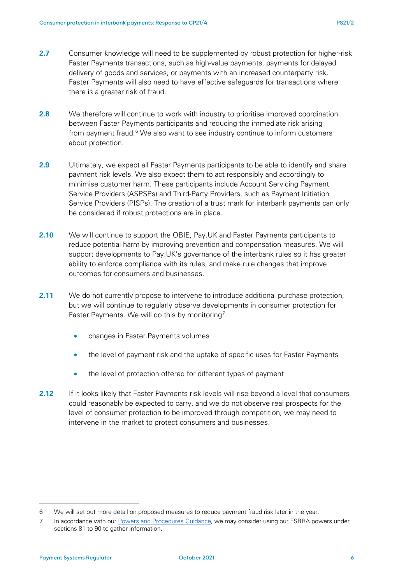- **2.7** Consumer knowledge will need to be supplemented by robust protection for higher-risk Faster Payments transactions, such as high-value payments, payments for delayed delivery of goods and services, or payments with an increased counterparty risk. Faster Payments will also need to have effective safeguards for transactions where there is a greater risk of fraud.
- **2.8** We therefore will continue to work with industry to prioritise improved coordination between Faster Payments participants and reducing the immediate risk arising from payment fraud.<sup>[6](#page-5-0)</sup> We also want to see industry continue to inform customers about protection.
- **2.9** Ultimately, we expect all Faster Payments participants to be able to identify and share payment risk levels. We also expect them to act responsibly and accordingly to minimise customer harm. These participants include Account Servicing Payment Service Providers (ASPSPs) and Third-Party Providers, such as Payment Initiation Service Providers (PISPs). The creation of a trust mark for interbank payments can only be considered if robust protections are in place.
- **2.10** We will continue to support the OBIE, Pay.UK and Faster Payments participants to reduce potential harm by improving prevention and compensation measures. We will support developments to Pay.UK's governance of the interbank rules so it has greater ability to enforce compliance with its rules, and make rule changes that improve outcomes for consumers and businesses.
- **2.11** We do not currently propose to intervene to introduce additional purchase protection, but we will continue to regularly observe developments in consumer protection for Faster Payments. We will do this by monitoring<sup>[7](#page-5-1)</sup>:
	- changes in Faster Payments volumes
	- the level of payment risk and the uptake of specific uses for Faster Payments
	- the level of protection offered for different types of payment
- **2.12** If it looks likely that Faster Payments risk levels will rise beyond a level that consumers could reasonably be expected to carry, and we do not observe real prospects for the level of consumer protection to be improved through competition, we may need to intervene in the market to protect consumers and businesses.

<span id="page-5-0"></span><sup>6</sup> We will set out more detail on proposed measures to reduce payment fraud risk later in the year.

<span id="page-5-1"></span><sup>7</sup> In accordance with our [Powers and Procedures Guidance,](https://www.psr.org.uk/publications/general/powers-and-procedures-guidance-june-2020/) we may consider using our FSBRA powers under sections 81 to 90 to gather information.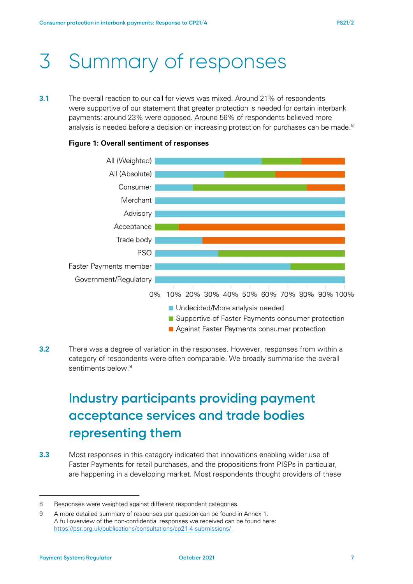# 3 Summary of responses

**3.1** The overall reaction to our call for views was mixed. Around 21% of respondents were supportive of our statement that greater protection is needed for certain interbank payments; around 23% were opposed. Around 56% of respondents believed more analysis is needed before a decision on increasing protection for purchases can be made.  $^8$  $^8$ 



#### **Figure 1: Overall sentiment of responses**

**3.2** There was a degree of variation in the responses. However, responses from within a category of respondents were often comparable. We broadly summarise the overall sentiments below.<sup>[9](#page-6-1)</sup>

## **Industry participants providing payment acceptance services and trade bodies representing them**

**3.3** Most responses in this category indicated that innovations enabling wider use of Faster Payments for retail purchases, and the propositions from PISPs in particular, are happening in a developing market. Most respondents thought providers of these

<span id="page-6-0"></span><sup>8</sup> Responses were weighted against different respondent categories.

<span id="page-6-1"></span><sup>9</sup> A more detailed summary of responses per question can be found in Annex 1. A full overview of the non-confidential responses we received can be found here: <https://psr.org.uk/publications/consultations/cp21-4-submissions/>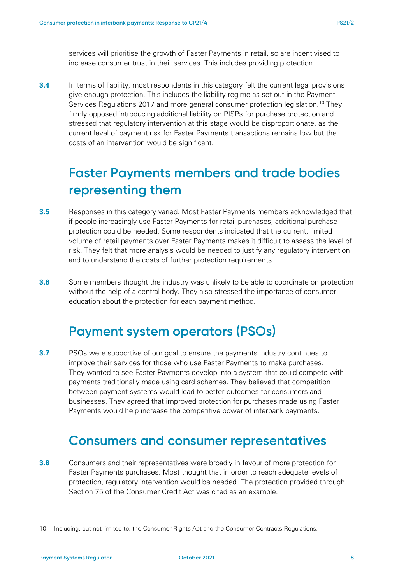services will prioritise the growth of Faster Payments in retail, so are incentivised to increase consumer trust in their services. This includes providing protection.

**3.4** In terms of liability, most respondents in this category felt the current legal provisions give enough protection. This includes the liability regime as set out in the Payment Services Regulations 2017 and more general consumer protection legislation.<sup>[10](#page-7-0)</sup> They firmly opposed introducing additional liability on PISPs for purchase protection and stressed that regulatory intervention at this stage would be disproportionate, as the current level of payment risk for Faster Payments transactions remains low but the costs of an intervention would be significant.

### **Faster Payments members and trade bodies representing them**

- **3.5** Responses in this category varied. Most Faster Payments members acknowledged that if people increasingly use Faster Payments for retail purchases, additional purchase protection could be needed. Some respondents indicated that the current, limited volume of retail payments over Faster Payments makes it difficult to assess the level of risk. They felt that more analysis would be needed to justify any regulatory intervention and to understand the costs of further protection requirements.
- **3.6** Some members thought the industry was unlikely to be able to coordinate on protection without the help of a central body. They also stressed the importance of consumer education about the protection for each payment method.

### **Payment system operators (PSOs)**

**3.7** PSOs were supportive of our goal to ensure the payments industry continues to improve their services for those who use Faster Payments to make purchases. They wanted to see Faster Payments develop into a system that could compete with payments traditionally made using card schemes. They believed that competition between payment systems would lead to better outcomes for consumers and businesses. They agreed that improved protection for purchases made using Faster Payments would help increase the competitive power of interbank payments.

### **Consumers and consumer representatives**

**3.8** Consumers and their representatives were broadly in favour of more protection for Faster Payments purchases. Most thought that in order to reach adequate levels of protection, regulatory intervention would be needed. The protection provided through Section 75 of the Consumer Credit Act was cited as an example.

<span id="page-7-0"></span><sup>10</sup> Including, but not limited to, the Consumer Rights Act and the Consumer Contracts Regulations.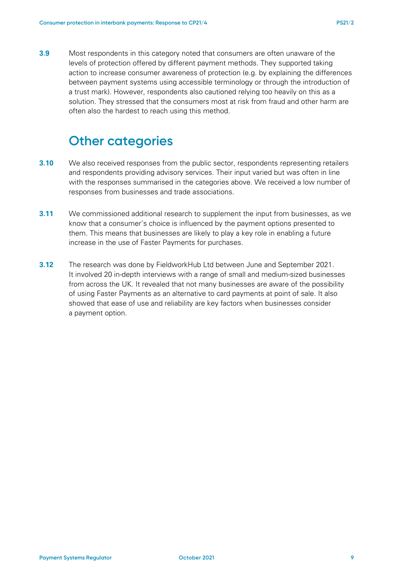**3.9** Most respondents in this category noted that consumers are often unaware of the levels of protection offered by different payment methods. They supported taking action to increase consumer awareness of protection (e.g. by explaining the differences between payment systems using accessible terminology or through the introduction of a trust mark). However, respondents also cautioned relying too heavily on this as a solution. They stressed that the consumers most at risk from fraud and other harm are often also the hardest to reach using this method.

### **Other categories**

- **3.10** We also received responses from the public sector, respondents representing retailers and respondents providing advisory services. Their input varied but was often in line with the responses summarised in the categories above. We received a low number of responses from businesses and trade associations.
- **3.11** We commissioned additional research to supplement the input from businesses, as we know that a consumer's choice is influenced by the payment options presented to them. This means that businesses are likely to play a key role in enabling a future increase in the use of Faster Payments for purchases.
- **3.12** The research was done by FieldworkHub Ltd between June and September 2021. It involved 20 in-depth interviews with a range of small and medium-sized businesses from across the UK. It revealed that not many businesses are aware of the possibility of using Faster Payments as an alternative to card payments at point of sale. It also showed that ease of use and reliability are key factors when businesses consider a payment option.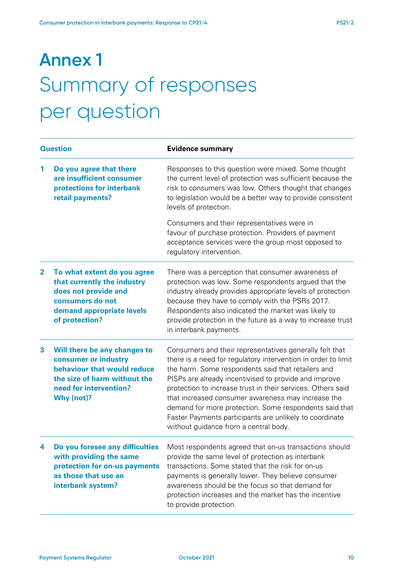# **Annex 1** Summary of responses per question

| <b>Question</b> |                                                                                                                                                             | <b>Evidence summary</b>                                                                                                                                                                                                                                                                                                                                                                                                                                                                                                    |
|-----------------|-------------------------------------------------------------------------------------------------------------------------------------------------------------|----------------------------------------------------------------------------------------------------------------------------------------------------------------------------------------------------------------------------------------------------------------------------------------------------------------------------------------------------------------------------------------------------------------------------------------------------------------------------------------------------------------------------|
| 1               | Do you agree that there<br>are insufficient consumer<br>protections for interbank<br>retail payments?                                                       | Responses to this question were mixed. Some thought<br>the current level of protection was sufficient because the<br>risk to consumers was low. Others thought that changes<br>to legislation would be a better way to provide consistent<br>levels of protection.                                                                                                                                                                                                                                                         |
|                 |                                                                                                                                                             | Consumers and their representatives were in<br>favour of purchase protection. Providers of payment<br>acceptance services were the group most opposed to<br>regulatory intervention.                                                                                                                                                                                                                                                                                                                                       |
| $\mathbf{2}$    | To what extent do you agree<br>that currently the industry<br>does not provide and<br>consumers do not<br>demand appropriate levels<br>of protection?       | There was a perception that consumer awareness of<br>protection was low. Some respondents argued that the<br>industry already provides appropriate levels of protection<br>because they have to comply with the PSRs 2017.<br>Respondents also indicated the market was likely to<br>provide protection in the future as a way to increase trust<br>in interbank payments.                                                                                                                                                 |
| 3               | Will there be any changes to<br>consumer or industry<br>behaviour that would reduce<br>the size of harm without the<br>need for intervention?<br>Why (not)? | Consumers and their representatives generally felt that<br>there is a need for regulatory intervention in order to limit<br>the harm. Some respondents said that retailers and<br>PISPs are already incentivised to provide and improve<br>protection to increase trust in their services. Others said<br>that increased consumer awareness may increase the<br>demand for more protection. Some respondents said that<br>Faster Payments participants are unlikely to coordinate<br>without guidance from a central body. |
| 4               | Do you foresee any difficulties<br>with providing the same<br>protection for on-us payments<br>as those that use an<br>interbank system?                    | Most respondents agreed that on-us transactions should<br>provide the same level of protection as interbank<br>transactions. Some stated that the risk for on-us<br>payments is generally lower. They believe consumer<br>awareness should be the focus so that demand for<br>protection increases and the market has the incentive<br>to provide protection.                                                                                                                                                              |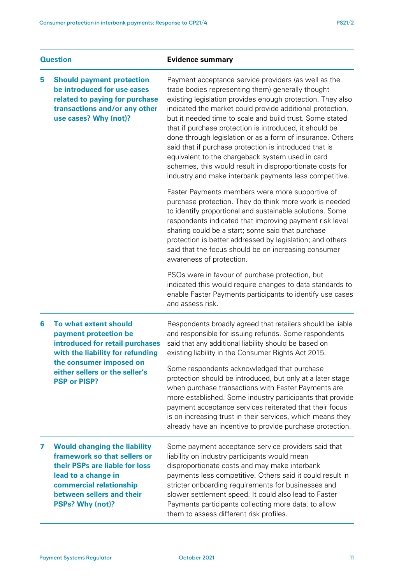| <b>Question</b> |                                                                                                                                                                                                          | <b>Evidence summary</b>                                                                                                                                                                                                                                                                                                                                                                                                                                                                                                                                                                                                                                       |  |
|-----------------|----------------------------------------------------------------------------------------------------------------------------------------------------------------------------------------------------------|---------------------------------------------------------------------------------------------------------------------------------------------------------------------------------------------------------------------------------------------------------------------------------------------------------------------------------------------------------------------------------------------------------------------------------------------------------------------------------------------------------------------------------------------------------------------------------------------------------------------------------------------------------------|--|
| 5               | <b>Should payment protection</b><br>be introduced for use cases<br>related to paying for purchase<br>transactions and/or any other<br>use cases? Why (not)?                                              | Payment acceptance service providers (as well as the<br>trade bodies representing them) generally thought<br>existing legislation provides enough protection. They also<br>indicated the market could provide additional protection,<br>but it needed time to scale and build trust. Some stated<br>that if purchase protection is introduced, it should be<br>done through legislation or as a form of insurance. Others<br>said that if purchase protection is introduced that is<br>equivalent to the chargeback system used in card<br>schemes, this would result in disproportionate costs for<br>industry and make interbank payments less competitive. |  |
|                 |                                                                                                                                                                                                          | Faster Payments members were more supportive of<br>purchase protection. They do think more work is needed<br>to identify proportional and sustainable solutions. Some<br>respondents indicated that improving payment risk level<br>sharing could be a start; some said that purchase<br>protection is better addressed by legislation; and others<br>said that the focus should be on increasing consumer<br>awareness of protection.                                                                                                                                                                                                                        |  |
|                 |                                                                                                                                                                                                          | PSOs were in favour of purchase protection, but<br>indicated this would require changes to data standards to<br>enable Faster Payments participants to identify use cases<br>and assess risk.                                                                                                                                                                                                                                                                                                                                                                                                                                                                 |  |
| 6               | To what extent should<br>payment protection be<br>introduced for retail purchases<br>with the liability for refunding<br>the consumer imposed on                                                         | Respondents broadly agreed that retailers should be liable<br>and responsible for issuing refunds. Some respondents<br>said that any additional liability should be based on<br>existing liability in the Consumer Rights Act 2015.                                                                                                                                                                                                                                                                                                                                                                                                                           |  |
|                 | either sellers or the seller's<br><b>PSP or PISP?</b>                                                                                                                                                    | Some respondents acknowledged that purchase<br>protection should be introduced, but only at a later stage<br>when purchase transactions with Faster Payments are<br>more established. Some industry participants that provide<br>payment acceptance services reiterated that their focus<br>is on increasing trust in their services, which means they<br>already have an incentive to provide purchase protection.                                                                                                                                                                                                                                           |  |
| 7               | <b>Would changing the liability</b><br>framework so that sellers or<br>their PSPs are liable for loss<br>lead to a change in<br>commercial relationship<br>between sellers and their<br>PSPs? Why (not)? | Some payment acceptance service providers said that<br>liability on industry participants would mean<br>disproportionate costs and may make interbank<br>payments less competitive. Others said it could result in<br>stricter onboarding requirements for businesses and<br>slower settlement speed. It could also lead to Faster<br>Payments participants collecting more data, to allow<br>them to assess different risk profiles.                                                                                                                                                                                                                         |  |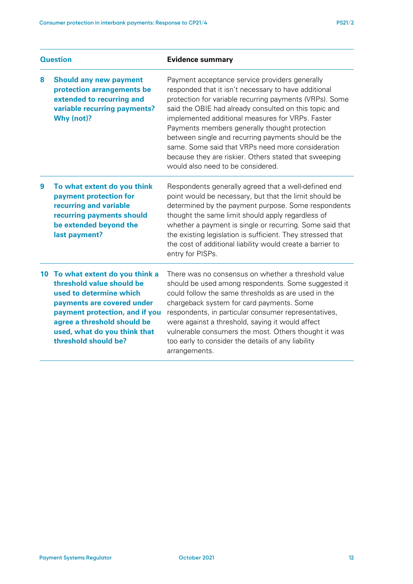| <b>Question</b> |                                                                                                                                                                                                                                              | <b>Evidence summary</b>                                                                                                                                                                                                                                                                                                                                                                                                                                                                                                                   |  |
|-----------------|----------------------------------------------------------------------------------------------------------------------------------------------------------------------------------------------------------------------------------------------|-------------------------------------------------------------------------------------------------------------------------------------------------------------------------------------------------------------------------------------------------------------------------------------------------------------------------------------------------------------------------------------------------------------------------------------------------------------------------------------------------------------------------------------------|--|
| 8               | <b>Should any new payment</b><br>protection arrangements be<br>extended to recurring and<br>variable recurring payments?<br>Why (not)?                                                                                                       | Payment acceptance service providers generally<br>responded that it isn't necessary to have additional<br>protection for variable recurring payments (VRPs). Some<br>said the OBIE had already consulted on this topic and<br>implemented additional measures for VRPs. Faster<br>Payments members generally thought protection<br>between single and recurring payments should be the<br>same. Some said that VRPs need more consideration<br>because they are riskier. Others stated that sweeping<br>would also need to be considered. |  |
| 9               | To what extent do you think<br>payment protection for<br>recurring and variable<br>recurring payments should<br>be extended beyond the<br>last payment?                                                                                      | Respondents generally agreed that a well-defined end<br>point would be necessary, but that the limit should be<br>determined by the payment purpose. Some respondents<br>thought the same limit should apply regardless of<br>whether a payment is single or recurring. Some said that<br>the existing legislation is sufficient. They stressed that<br>the cost of additional liability would create a barrier to<br>entry for PISPs.                                                                                                    |  |
| 10              | To what extent do you think a<br>threshold value should be<br>used to determine which<br>payments are covered under<br>payment protection, and if you<br>agree a threshold should be<br>used, what do you think that<br>threshold should be? | There was no consensus on whether a threshold value<br>should be used among respondents. Some suggested it<br>could follow the same thresholds as are used in the<br>chargeback system for card payments. Some<br>respondents, in particular consumer representatives,<br>were against a threshold, saying it would affect<br>vulnerable consumers the most. Others thought it was<br>too early to consider the details of any liability<br>arrangements.                                                                                 |  |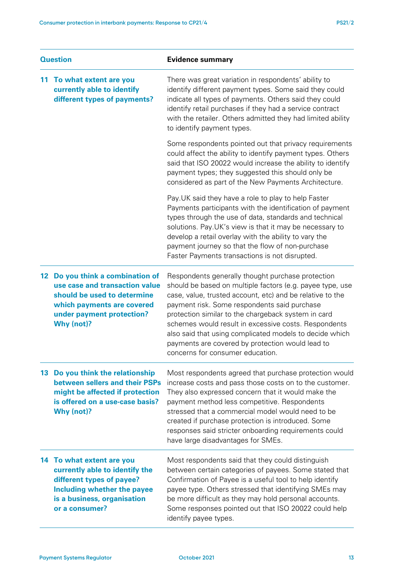| <b>Question</b>  |                                                                                                                                                                          | <b>Evidence summary</b>                                                                                                                                                                                                                                                                                                                                                                                                                                                                       |  |
|------------------|--------------------------------------------------------------------------------------------------------------------------------------------------------------------------|-----------------------------------------------------------------------------------------------------------------------------------------------------------------------------------------------------------------------------------------------------------------------------------------------------------------------------------------------------------------------------------------------------------------------------------------------------------------------------------------------|--|
| 11.              | To what extent are you<br>currently able to identify<br>different types of payments?                                                                                     | There was great variation in respondents' ability to<br>identify different payment types. Some said they could<br>indicate all types of payments. Others said they could<br>identify retail purchases if they had a service contract<br>with the retailer. Others admitted they had limited ability<br>to identify payment types.                                                                                                                                                             |  |
|                  |                                                                                                                                                                          | Some respondents pointed out that privacy requirements<br>could affect the ability to identify payment types. Others<br>said that ISO 20022 would increase the ability to identify<br>payment types; they suggested this should only be<br>considered as part of the New Payments Architecture.                                                                                                                                                                                               |  |
|                  |                                                                                                                                                                          | Pay. UK said they have a role to play to help Faster<br>Payments participants with the identification of payment<br>types through the use of data, standards and technical<br>solutions. Pay UK's view is that it may be necessary to<br>develop a retail overlay with the ability to vary the<br>payment journey so that the flow of non-purchase<br>Faster Payments transactions is not disrupted.                                                                                          |  |
| 12 <sup>12</sup> | Do you think a combination of<br>use case and transaction value<br>should be used to determine<br>which payments are covered<br>under payment protection?<br>Why (not)?  | Respondents generally thought purchase protection<br>should be based on multiple factors (e.g. payee type, use<br>case, value, trusted account, etc) and be relative to the<br>payment risk. Some respondents said purchase<br>protection similar to the chargeback system in card<br>schemes would result in excessive costs. Respondents<br>also said that using complicated models to decide which<br>payments are covered by protection would lead to<br>concerns for consumer education. |  |
|                  | 13 Do you think the relationship<br>between sellers and their PSPs<br>might be affected if protection<br>is offered on a use-case basis?<br>Why (not)?                   | Most respondents agreed that purchase protection would<br>increase costs and pass those costs on to the customer.<br>They also expressed concern that it would make the<br>payment method less competitive. Respondents<br>stressed that a commercial model would need to be<br>created if purchase protection is introduced. Some<br>responses said stricter onboarding requirements could<br>have large disadvantages for SMEs.                                                             |  |
|                  | 14 To what extent are you<br>currently able to identify the<br>different types of payee?<br>Including whether the payee<br>is a business, organisation<br>or a consumer? | Most respondents said that they could distinguish<br>between certain categories of payees. Some stated that<br>Confirmation of Payee is a useful tool to help identify<br>payee type. Others stressed that identifying SMEs may<br>be more difficult as they may hold personal accounts.<br>Some responses pointed out that ISO 20022 could help<br>identify payee types.                                                                                                                     |  |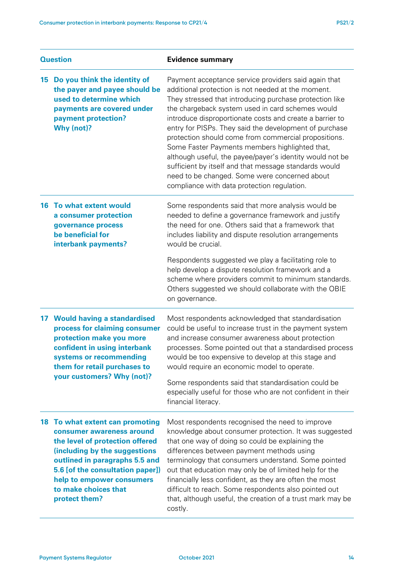| <b>Question</b> |                                                                                                                                                                                                                                                                              | <b>Evidence summary</b>                                                                                                                                                                                                                                                                                                                                                                                                                                                                                                                                                                                                                                                        |  |
|-----------------|------------------------------------------------------------------------------------------------------------------------------------------------------------------------------------------------------------------------------------------------------------------------------|--------------------------------------------------------------------------------------------------------------------------------------------------------------------------------------------------------------------------------------------------------------------------------------------------------------------------------------------------------------------------------------------------------------------------------------------------------------------------------------------------------------------------------------------------------------------------------------------------------------------------------------------------------------------------------|--|
| 15              | Do you think the identity of<br>the payer and payee should be<br>used to determine which<br>payments are covered under<br>payment protection?<br>Why (not)?                                                                                                                  | Payment acceptance service providers said again that<br>additional protection is not needed at the moment.<br>They stressed that introducing purchase protection like<br>the chargeback system used in card schemes would<br>introduce disproportionate costs and create a barrier to<br>entry for PISPs. They said the development of purchase<br>protection should come from commercial propositions.<br>Some Faster Payments members highlighted that,<br>although useful, the payee/payer's identity would not be<br>sufficient by itself and that message standards would<br>need to be changed. Some were concerned about<br>compliance with data protection regulation. |  |
|                 | <b>16 To what extent would</b><br>a consumer protection<br>governance process<br>be beneficial for<br>interbank payments?                                                                                                                                                    | Some respondents said that more analysis would be<br>needed to define a governance framework and justify<br>the need for one. Others said that a framework that<br>includes liability and dispute resolution arrangements<br>would be crucial.<br>Respondents suggested we play a facilitating role to<br>help develop a dispute resolution framework and a<br>scheme where providers commit to minimum standards.<br>Others suggested we should collaborate with the OBIE<br>on governance.                                                                                                                                                                                   |  |
|                 | 17 Would having a standardised<br>process for claiming consumer<br>protection make you more<br>confident in using interbank<br>systems or recommending<br>them for retail purchases to<br>your customers? Why (not)?                                                         | Most respondents acknowledged that standardisation<br>could be useful to increase trust in the payment system<br>and increase consumer awareness about protection<br>processes. Some pointed out that a standardised process<br>would be too expensive to develop at this stage and<br>would require an economic model to operate.<br>Some respondents said that standardisation could be<br>especially useful for those who are not confident in their<br>financial literacy.                                                                                                                                                                                                 |  |
|                 | 18 To what extent can promoting<br>consumer awareness around<br>the level of protection offered<br>(including by the suggestions<br>outlined in paragraphs 5.5 and<br>5.6 [of the consultation paper])<br>help to empower consumers<br>to make choices that<br>protect them? | Most respondents recognised the need to improve<br>knowledge about consumer protection. It was suggested<br>that one way of doing so could be explaining the<br>differences between payment methods using<br>terminology that consumers understand. Some pointed<br>out that education may only be of limited help for the<br>financially less confident, as they are often the most<br>difficult to reach. Some respondents also pointed out<br>that, although useful, the creation of a trust mark may be<br>costly.                                                                                                                                                         |  |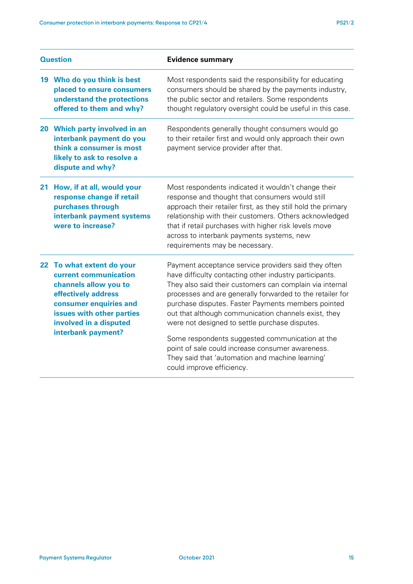| <b>Question</b> |                                                                                                                                                                                                           | <b>Evidence summary</b>                                                                                                                                                                                                                                                                                                                                                                                                                                                                                                                                                                          |  |
|-----------------|-----------------------------------------------------------------------------------------------------------------------------------------------------------------------------------------------------------|--------------------------------------------------------------------------------------------------------------------------------------------------------------------------------------------------------------------------------------------------------------------------------------------------------------------------------------------------------------------------------------------------------------------------------------------------------------------------------------------------------------------------------------------------------------------------------------------------|--|
|                 | 19 Who do you think is best<br>placed to ensure consumers<br>understand the protections<br>offered to them and why?                                                                                       | Most respondents said the responsibility for educating<br>consumers should be shared by the payments industry,<br>the public sector and retailers. Some respondents<br>thought regulatory oversight could be useful in this case.                                                                                                                                                                                                                                                                                                                                                                |  |
|                 | 20 Which party involved in an<br>interbank payment do you<br>think a consumer is most<br>likely to ask to resolve a<br>dispute and why?                                                                   | Respondents generally thought consumers would go<br>to their retailer first and would only approach their own<br>payment service provider after that.                                                                                                                                                                                                                                                                                                                                                                                                                                            |  |
| 21              | How, if at all, would your<br>response change if retail<br>purchases through<br>interbank payment systems<br>were to increase?                                                                            | Most respondents indicated it wouldn't change their<br>response and thought that consumers would still<br>approach their retailer first, as they still hold the primary<br>relationship with their customers. Others acknowledged<br>that if retail purchases with higher risk levels move<br>across to interbank payments systems, new<br>requirements may be necessary.                                                                                                                                                                                                                        |  |
|                 | 22 To what extent do your<br>current communication<br>channels allow you to<br>effectively address<br>consumer enquiries and<br>issues with other parties<br>involved in a disputed<br>interbank payment? | Payment acceptance service providers said they often<br>have difficulty contacting other industry participants.<br>They also said their customers can complain via internal<br>processes and are generally forwarded to the retailer for<br>purchase disputes. Faster Payments members pointed<br>out that although communication channels exist, they<br>were not designed to settle purchase disputes.<br>Some respondents suggested communication at the<br>point of sale could increase consumer awareness.<br>They said that 'automation and machine learning'<br>could improve efficiency. |  |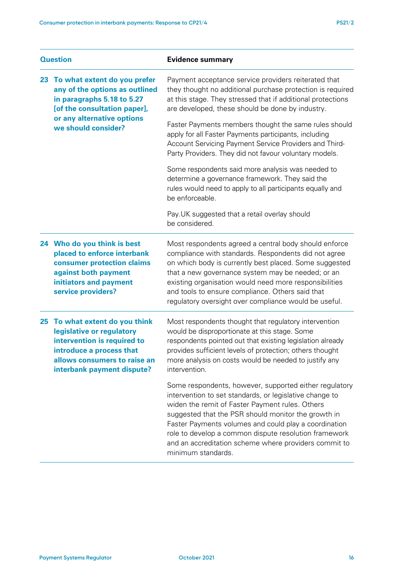| <b>Question</b> |                                                                                                                                                                                      | <b>Evidence summary</b>                                                                                                                                                                                                                                                                                                                                                                                                      |  |
|-----------------|--------------------------------------------------------------------------------------------------------------------------------------------------------------------------------------|------------------------------------------------------------------------------------------------------------------------------------------------------------------------------------------------------------------------------------------------------------------------------------------------------------------------------------------------------------------------------------------------------------------------------|--|
| 23              | To what extent do you prefer<br>any of the options as outlined<br>in paragraphs 5.18 to 5.27<br>[of the consultation paper],                                                         | Payment acceptance service providers reiterated that<br>they thought no additional purchase protection is required<br>at this stage. They stressed that if additional protections<br>are developed, these should be done by industry.                                                                                                                                                                                        |  |
|                 | or any alternative options<br>we should consider?                                                                                                                                    | Faster Payments members thought the same rules should<br>apply for all Faster Payments participants, including<br>Account Servicing Payment Service Providers and Third-<br>Party Providers. They did not favour voluntary models.                                                                                                                                                                                           |  |
|                 |                                                                                                                                                                                      | Some respondents said more analysis was needed to<br>determine a governance framework. They said the<br>rules would need to apply to all participants equally and<br>be enforceable.                                                                                                                                                                                                                                         |  |
|                 |                                                                                                                                                                                      | Pay. UK suggested that a retail overlay should<br>be considered.                                                                                                                                                                                                                                                                                                                                                             |  |
|                 | 24 Who do you think is best<br>placed to enforce interbank<br>consumer protection claims<br>against both payment<br>initiators and payment<br>service providers?                     | Most respondents agreed a central body should enforce<br>compliance with standards. Respondents did not agree<br>on which body is currently best placed. Some suggested<br>that a new governance system may be needed; or an<br>existing organisation would need more responsibilities<br>and tools to ensure compliance. Others said that<br>regulatory oversight over compliance would be useful.                          |  |
|                 | 25 To what extent do you think<br>legislative or regulatory<br>intervention is required to<br>introduce a process that<br>allows consumers to raise an<br>interbank payment dispute? | Most respondents thought that regulatory intervention<br>would be disproportionate at this stage. Some<br>respondents pointed out that existing legislation already<br>provides sufficient levels of protection; others thought<br>more analysis on costs would be needed to justify any<br>intervention.                                                                                                                    |  |
|                 |                                                                                                                                                                                      | Some respondents, however, supported either regulatory<br>intervention to set standards, or legislative change to<br>widen the remit of Faster Payment rules. Others<br>suggested that the PSR should monitor the growth in<br>Faster Payments volumes and could play a coordination<br>role to develop a common dispute resolution framework<br>and an accreditation scheme where providers commit to<br>minimum standards. |  |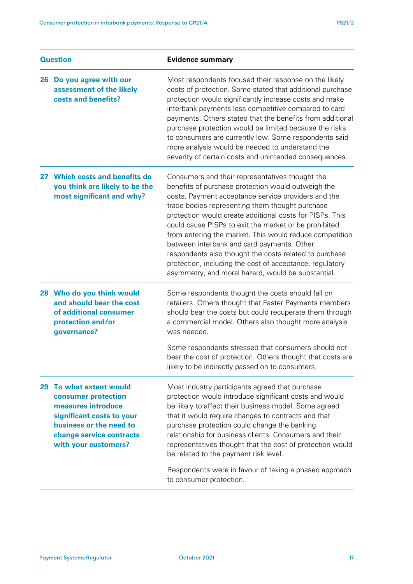| <b>Question</b> |                                                                                                                                                                               | <b>Evidence summary</b>                                                                                                                                                                                                                                                                                                                                                                                                                                                                                                                                                                                                   |  |
|-----------------|-------------------------------------------------------------------------------------------------------------------------------------------------------------------------------|---------------------------------------------------------------------------------------------------------------------------------------------------------------------------------------------------------------------------------------------------------------------------------------------------------------------------------------------------------------------------------------------------------------------------------------------------------------------------------------------------------------------------------------------------------------------------------------------------------------------------|--|
| 26              | Do you agree with our<br>assessment of the likely<br>costs and benefits?                                                                                                      | Most respondents focused their response on the likely<br>costs of protection. Some stated that additional purchase<br>protection would significantly increase costs and make<br>interbank payments less competitive compared to card<br>payments. Others stated that the benefits from additional<br>purchase protection would be limited because the risks<br>to consumers are currently low. Some respondents said<br>more analysis would be needed to understand the<br>severity of certain costs and unintended consequences.                                                                                         |  |
| 27              | <b>Which costs and benefits do</b><br>you think are likely to be the<br>most significant and why?                                                                             | Consumers and their representatives thought the<br>benefits of purchase protection would outweigh the<br>costs. Payment acceptance service providers and the<br>trade bodies representing them thought purchase<br>protection would create additional costs for PISPs. This<br>could cause PISPs to exit the market or be prohibited<br>from entering the market. This would reduce competition<br>between interbank and card payments. Other<br>respondents also thought the costs related to purchase<br>protection, including the cost of acceptance, regulatory<br>asymmetry, and moral hazard, would be substantial. |  |
|                 | 28 Who do you think would<br>and should bear the cost<br>of additional consumer<br>protection and/or<br>governance?                                                           | Some respondents thought the costs should fall on<br>retailers. Others thought that Faster Payments members<br>should bear the costs but could recuperate them through<br>a commercial model. Others also thought more analysis<br>was needed.<br>Some respondents stressed that consumers should not                                                                                                                                                                                                                                                                                                                     |  |
|                 |                                                                                                                                                                               | bear the cost of protection. Others thought that costs are<br>likely to be indirectly passed on to consumers.                                                                                                                                                                                                                                                                                                                                                                                                                                                                                                             |  |
| 29              | To what extent would<br>consumer protection<br>measures introduce<br>significant costs to your<br>business or the need to<br>change service contracts<br>with your customers? | Most industry participants agreed that purchase<br>protection would introduce significant costs and would<br>be likely to affect their business model. Some agreed<br>that it would require changes to contracts and that<br>purchase protection could change the banking<br>relationship for business clients. Consumers and their<br>representatives thought that the cost of protection would<br>be related to the payment risk level.                                                                                                                                                                                 |  |
|                 |                                                                                                                                                                               | Respondents were in favour of taking a phased approach<br>to consumer protection.                                                                                                                                                                                                                                                                                                                                                                                                                                                                                                                                         |  |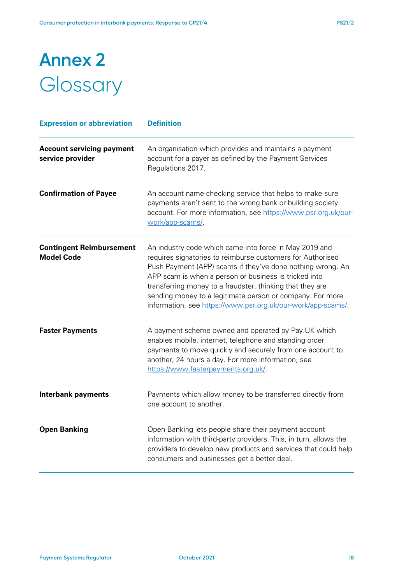# **Annex 2 Glossary**

| <b>Expression or abbreviation</b>                    | <b>Definition</b>                                                                                                                                                                                                                                                                                                                                                                                                                     |
|------------------------------------------------------|---------------------------------------------------------------------------------------------------------------------------------------------------------------------------------------------------------------------------------------------------------------------------------------------------------------------------------------------------------------------------------------------------------------------------------------|
| <b>Account servicing payment</b><br>service provider | An organisation which provides and maintains a payment<br>account for a payer as defined by the Payment Services<br>Regulations 2017.                                                                                                                                                                                                                                                                                                 |
| <b>Confirmation of Payee</b>                         | An account name checking service that helps to make sure<br>payments aren't sent to the wrong bank or building society<br>account. For more information, see https://www.psr.org.uk/our-<br>work/app-scams/.                                                                                                                                                                                                                          |
| <b>Contingent Reimbursement</b><br><b>Model Code</b> | An industry code which came into force in May 2019 and<br>requires signatories to reimburse customers for Authorised<br>Push Payment (APP) scams if they've done nothing wrong. An<br>APP scam is when a person or business is tricked into<br>transferring money to a fraudster, thinking that they are<br>sending money to a legitimate person or company. For more<br>information, see https://www.psr.org.uk/our-work/app-scams/. |
| <b>Faster Payments</b>                               | A payment scheme owned and operated by Pay. UK which<br>enables mobile, internet, telephone and standing order<br>payments to move quickly and securely from one account to<br>another, 24 hours a day. For more information, see<br>https://www.fasterpayments.org.uk/.                                                                                                                                                              |
| <b>Interbank payments</b>                            | Payments which allow money to be transferred directly from<br>one account to another.                                                                                                                                                                                                                                                                                                                                                 |
| <b>Open Banking</b>                                  | Open Banking lets people share their payment account<br>information with third-party providers. This, in turn, allows the<br>providers to develop new products and services that could help<br>consumers and businesses get a better deal.                                                                                                                                                                                            |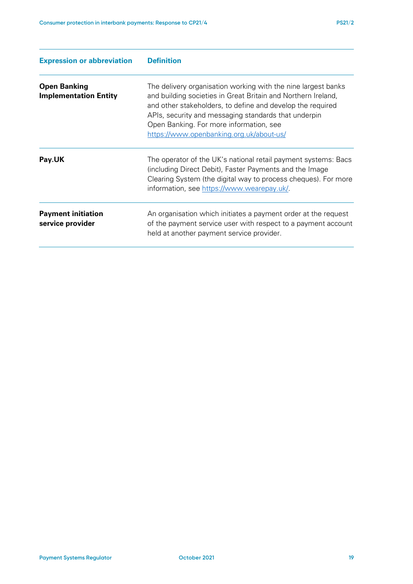| <b>Expression or abbreviation</b>                   | <b>Definition</b>                                                                                                                                                                                                                                                                                                                           |
|-----------------------------------------------------|---------------------------------------------------------------------------------------------------------------------------------------------------------------------------------------------------------------------------------------------------------------------------------------------------------------------------------------------|
| <b>Open Banking</b><br><b>Implementation Entity</b> | The delivery organisation working with the nine largest banks<br>and building societies in Great Britain and Northern Ireland,<br>and other stakeholders, to define and develop the required<br>APIs, security and messaging standards that underpin<br>Open Banking. For more information, see<br>https://www.openbanking.org.uk/about-us/ |
| Pay.UK                                              | The operator of the UK's national retail payment systems: Bacs<br>(including Direct Debit), Faster Payments and the Image<br>Clearing System (the digital way to process cheques). For more<br>information, see https://www.wearepay.uk/.                                                                                                   |
| <b>Payment initiation</b><br>service provider       | An organisation which initiates a payment order at the request<br>of the payment service user with respect to a payment account<br>held at another payment service provider.                                                                                                                                                                |